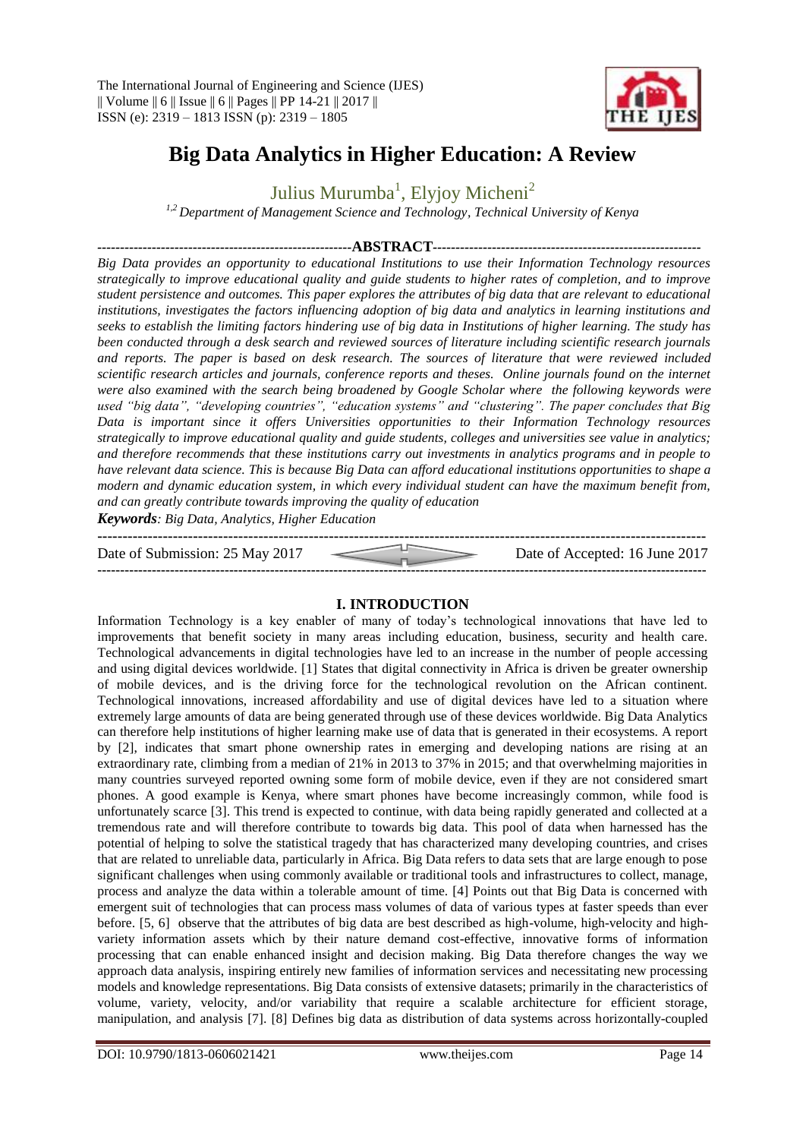

# **Big Data Analytics in Higher Education: A Review**

Julius Murumba<sup>1</sup>, Elyjoy Micheni<sup>2</sup>

*1,2 Department of Management Science and Technology, Technical University of Kenya*

# *--------------------------------------------------------***ABSTRACT***-----------------------------------------------------------*

*Big Data provides an opportunity to educational Institutions to use their Information Technology resources strategically to improve educational quality and guide students to higher rates of completion, and to improve student persistence and outcomes. This paper explores the attributes of big data that are relevant to educational institutions, investigates the factors influencing adoption of big data and analytics in learning institutions and seeks to establish the limiting factors hindering use of big data in Institutions of higher learning. The study has been conducted through a desk search and reviewed sources of literature including scientific research journals and reports. The paper is based on desk research. The sources of literature that were reviewed included scientific research articles and journals, conference reports and theses. Online journals found on the internet were also examined with the search being broadened by Google Scholar where the following keywords were used "big data", "developing countries", "education systems" and "clustering". The paper concludes that Big Data is important since it offers Universities opportunities to their Information Technology resources strategically to improve educational quality and guide students, colleges and universities see value in analytics; and therefore recommends that these institutions carry out investments in analytics programs and in people to have relevant data science. This is because Big Data can afford educational institutions opportunities to shape a modern and dynamic education system, in which every individual student can have the maximum benefit from, and can greatly contribute towards improving the quality of education*

*Keywords: Big Data, Analytics, Higher Education*

| Date of Submission: 25 May 2017 | Date of Accepted: 16 June 2017 |
|---------------------------------|--------------------------------|
|                                 |                                |

# **I. INTRODUCTION**

Information Technology is a key enabler of many of today's technological innovations that have led to improvements that benefit society in many areas including education, business, security and health care. Technological advancements in digital technologies have led to an increase in the number of people accessing and using digital devices worldwide. [1] States that digital connectivity in Africa is driven be greater ownership of mobile devices, and is the driving force for the technological revolution on the African continent. Technological innovations, increased affordability and use of digital devices have led to a situation where extremely large amounts of data are being generated through use of these devices worldwide. Big Data Analytics can therefore help institutions of higher learning make use of data that is generated in their ecosystems. A report by [2], indicates that smart phone ownership rates in emerging and developing nations are rising at an extraordinary rate, climbing from a median of 21% in 2013 to 37% in 2015; and that overwhelming majorities in many countries surveyed reported owning some form of mobile device, even if they are not considered smart phones. A good example is Kenya, where smart phones have become [increasingly common,](https://www.jumia.co.ke/blog/whitepaper-the-growth-of-the-smartphone-market-in-kenya/) while food is unfortunately scarce [3]. This trend is expected to continue, with data being rapidly generated and collected at a tremendous rate and will therefore contribute to towards big data. This pool of data when harnessed has the potential of helping to solve the statistical tragedy that has characterized many developing countries, and crises that are related to unreliable data, particularly in Africa. Big Data refers to data sets that are large enough to pose significant challenges when using commonly available or traditional tools and infrastructures to collect, manage, process and analyze the data within a tolerable amount of time. [4] Points out that Big Data is concerned with emergent suit of technologies that can process mass volumes of data of various types at faster speeds than ever before. [5, 6] observe that the attributes of big data are best described as high-volume, high-velocity and highvariety information assets which by their nature demand cost-effective, innovative forms of information processing that can enable enhanced insight and decision making. Big Data therefore changes the way we approach data analysis, inspiring entirely new families of information services and necessitating new processing models and knowledge representations. Big Data consists of extensive datasets; primarily in the characteristics of volume, variety, velocity, and/or variability that require a scalable architecture for efficient storage, manipulation, and analysis [7]. [8] Defines big data as distribution of data systems across horizontally-coupled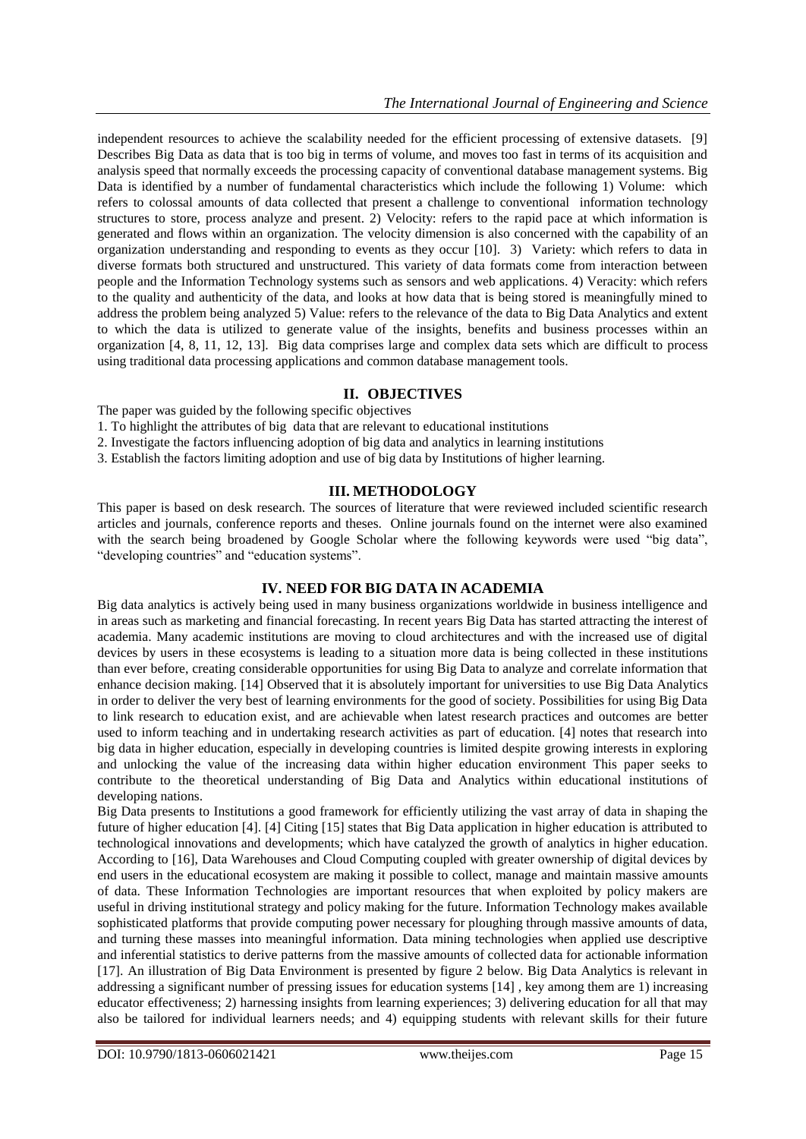independent resources to achieve the scalability needed for the efficient processing of extensive datasets. [9] Describes Big Data as data that is too big in terms of volume, and moves too fast in terms of its acquisition and analysis speed that normally exceeds the processing capacity of conventional database management systems. Big Data is identified by a number of fundamental characteristics which include the following 1) Volume: which refers to colossal amounts of data collected that present a challenge to conventional information technology structures to store, process analyze and present. 2) Velocity: refers to the rapid pace at which information is generated and flows within an organization. The velocity dimension is also concerned with the capability of an organization understanding and responding to events as they occur [10]. 3) Variety: which refers to data in diverse formats both structured and unstructured. This variety of data formats come from interaction between people and the Information Technology systems such as sensors and web applications. 4) Veracity: which refers to the quality and authenticity of the data, and looks at how data that is being stored is meaningfully mined to address the problem being analyzed 5) Value: refers to the relevance of the data to Big Data Analytics and extent to which the data is utilized to generate value of the insights, benefits and business processes within an organization [4, 8, 11, 12, 13]. Big data comprises large and complex data sets which are difficult to process using traditional data processing applications and common database management tools.

#### **II. OBJECTIVES**

The paper was guided by the following specific objectives

- 1. To highlight the attributes of big data that are relevant to educational institutions
- 2. Investigate the factors influencing adoption of big data and analytics in learning institutions
- 3. Establish the factors limiting adoption and use of big data by Institutions of higher learning.

## **III. METHODOLOGY**

This paper is based on desk research. The sources of literature that were reviewed included scientific research articles and journals, conference reports and theses. Online journals found on the internet were also examined with the search being broadened by Google Scholar where the following keywords were used "big data", "developing countries" and "education systems".

#### **IV. NEED FOR BIG DATA IN ACADEMIA**

Big data analytics is actively being used in many business organizations worldwide in business intelligence and in areas such as marketing and financial forecasting. In recent years Big Data has started attracting the interest of academia. Many academic institutions are moving to cloud architectures and with the increased use of digital devices by users in these ecosystems is leading to a situation more data is being collected in these institutions than ever before, creating considerable opportunities for using Big Data to analyze and correlate information that enhance decision making. [14] Observed that it is absolutely important for universities to use Big Data Analytics in order to deliver the very best of learning environments for the good of society. Possibilities for using Big Data to link research to education exist, and are achievable when latest research practices and outcomes are better used to inform teaching and in undertaking research activities as part of education. [4] notes that research into big data in higher education, especially in developing countries is limited despite growing interests in exploring and unlocking the value of the increasing data within higher education environment This paper seeks to contribute to the theoretical understanding of Big Data and Analytics within educational institutions of developing nations.

Big Data presents to Institutions a good framework for efficiently utilizing the vast array of data in shaping the future of higher education [4]. [4] Citing [15] states that Big Data application in higher education is attributed to technological innovations and developments; which have catalyzed the growth of analytics in higher education. According to [16], Data Warehouses and Cloud Computing coupled with greater ownership of digital devices by end users in the educational ecosystem are making it possible to collect, manage and maintain massive amounts of data. These Information Technologies are important resources that when exploited by policy makers are useful in driving institutional strategy and policy making for the future. Information Technology makes available sophisticated platforms that provide computing power necessary for ploughing through massive amounts of data, and turning these masses into meaningful information. Data mining technologies when applied use descriptive and inferential statistics to derive patterns from the massive amounts of collected data for actionable information [17]. An illustration of Big Data Environment is presented by figure 2 below. Big Data Analytics is relevant in addressing a significant number of pressing issues for education systems [14] , key among them are 1) increasing educator effectiveness; 2) harnessing insights from learning experiences; 3) delivering education for all that may also be tailored for individual learners needs; and 4) equipping students with relevant skills for their future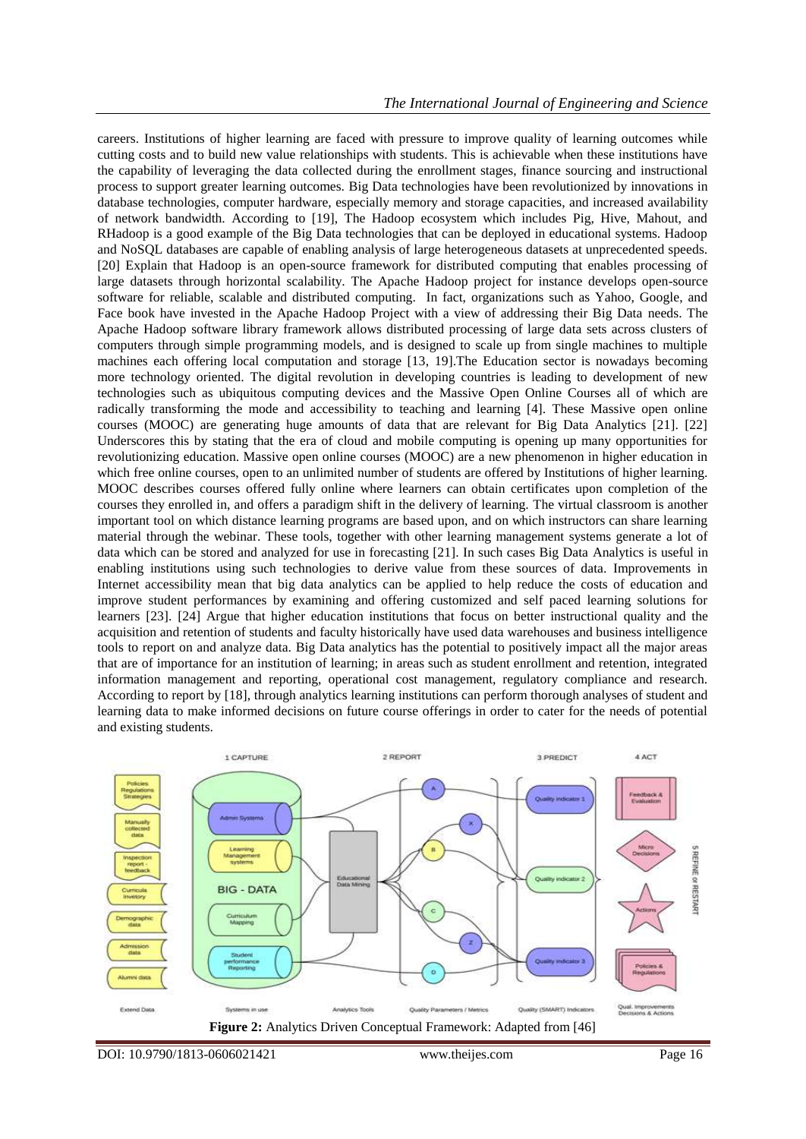careers. Institutions of higher learning are faced with pressure to improve quality of learning outcomes while cutting costs and to build new value relationships with students. This is achievable when these institutions have the capability of leveraging the data collected during the enrollment stages, finance sourcing and instructional process to support greater learning outcomes. Big Data technologies have been revolutionized by innovations in database technologies, computer hardware, especially memory and storage capacities, and increased availability of network bandwidth. According to [19], The Hadoop ecosystem which includes Pig, Hive, Mahout, and RHadoop is a good example of the Big Data technologies that can be deployed in educational systems. Hadoop and NoSQL databases are capable of enabling analysis of large heterogeneous datasets at unprecedented speeds. [20] Explain that Hadoop is an open-source framework for distributed computing that enables processing of large datasets through horizontal scalability. The Apache Hadoop project for instance develops open-source software for reliable, scalable and distributed computing. In fact, organizations such as Yahoo, Google, and Face book have invested in the Apache Hadoop Project with a view of addressing their Big Data needs. The Apache Hadoop software library framework allows distributed processing of large data sets across clusters of computers through simple programming models, and is designed to scale up from single machines to multiple machines each offering local computation and storage [13, 19].The Education sector is nowadays becoming more technology oriented. The digital revolution in developing countries is leading to development of new technologies such as ubiquitous computing devices and the Massive Open Online Courses all of which are radically transforming the mode and accessibility to teaching and learning [4]. These Massive open online courses (MOOC) are generating huge amounts of data that are relevant for Big Data Analytics [21]. [22] Underscores this by stating that the era of cloud and mobile computing is opening up many opportunities for revolutionizing education. Massive open online courses (MOOC) are a new phenomenon in higher education in which free online courses, open to an unlimited number of students are offered by Institutions of higher learning. MOOC describes courses offered fully online where learners can obtain certificates upon completion of the courses they enrolled in, and offers a paradigm shift in the delivery of learning. The virtual classroom is another important tool on which distance learning programs are based upon, and on which instructors can share learning material through the webinar. These tools, together with other learning management systems generate a lot of data which can be stored and analyzed for use in forecasting [21]. In such cases Big Data Analytics is useful in enabling institutions using such technologies to derive value from these sources of data. Improvements in Internet accessibility mean that big data analytics can be applied to help reduce the costs of education and improve student performances by examining and offering customized and self paced learning solutions for learners [23]. [24] Argue that higher education institutions that focus on better instructional quality and the acquisition and retention of students and faculty historically have used data warehouses and business intelligence tools to report on and analyze data. Big Data analytics has the potential to positively impact all the major areas that are of importance for an institution of learning; in areas such as student enrollment and retention, integrated information management and reporting, operational cost management, regulatory compliance and research. According to report by [18], through analytics learning institutions can perform thorough analyses of student and learning data to make informed decisions on future course offerings in order to cater for the needs of potential and existing students.



DOI: 10.9790/1813-0606021421 www.theijes.com Page 16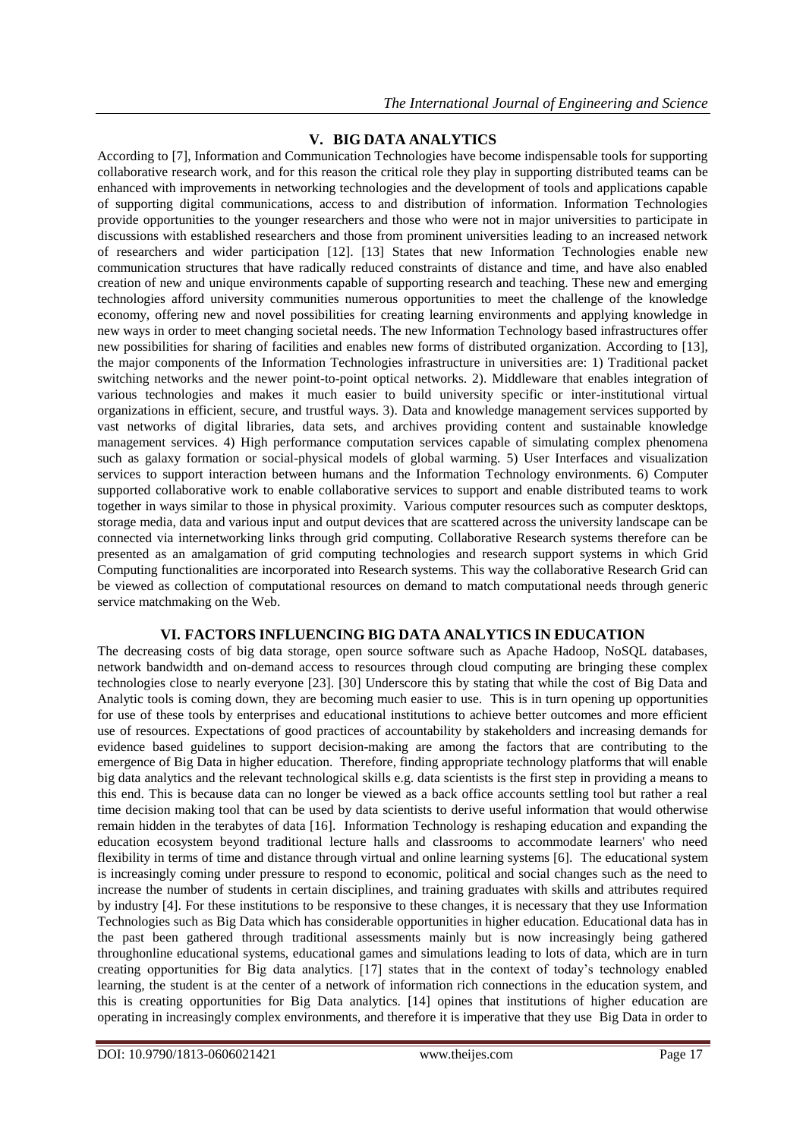# **V. BIG DATA ANALYTICS**

According to [7], Information and Communication Technologies have become indispensable tools for supporting collaborative research work, and for this reason the critical role they play in supporting distributed teams can be enhanced with improvements in networking technologies and the development of tools and applications capable of supporting digital communications, access to and distribution of information. Information Technologies provide opportunities to the younger researchers and those who were not in major universities to participate in discussions with established researchers and those from prominent universities leading to an increased network of researchers and wider participation [12]. [13] States that new Information Technologies enable new communication structures that have radically reduced constraints of distance and time, and have also enabled creation of new and unique environments capable of supporting research and teaching. These new and emerging technologies afford university communities numerous opportunities to meet the challenge of the knowledge economy, offering new and novel possibilities for creating learning environments and applying knowledge in new ways in order to meet changing societal needs. The new Information Technology based infrastructures offer new possibilities for sharing of facilities and enables new forms of distributed organization. According to [13], the major components of the Information Technologies infrastructure in universities are: 1) Traditional packet switching networks and the newer point-to-point optical networks. 2). Middleware that enables integration of various technologies and makes it much easier to build university specific or inter-institutional virtual organizations in efficient, secure, and trustful ways. 3). Data and knowledge management services supported by vast networks of digital libraries, data sets, and archives providing content and sustainable knowledge management services. 4) High performance computation services capable of simulating complex phenomena such as galaxy formation or social-physical models of global warming. 5) User Interfaces and visualization services to support interaction between humans and the Information Technology environments. 6) Computer supported collaborative work to enable collaborative services to support and enable distributed teams to work together in ways similar to those in physical proximity. Various computer resources such as computer desktops, storage media, data and various input and output devices that are scattered across the university landscape can be connected via internetworking links through grid computing. Collaborative Research systems therefore can be presented as an amalgamation of grid computing technologies and research support systems in which Grid Computing functionalities are incorporated into Research systems. This way the collaborative Research Grid can be viewed as collection of computational resources on demand to match computational needs through generic service matchmaking on the Web.

# **VI. FACTORS INFLUENCING BIG DATA ANALYTICS IN EDUCATION**

The decreasing costs of big data storage, open source software such as Apache Hadoop, NoSQL databases, network bandwidth and on-demand access to resources through cloud computing are bringing these complex technologies close to nearly everyone [23]. [30] Underscore this by stating that while the cost of Big Data and Analytic tools is coming down, they are becoming much easier to use. This is in turn opening up opportunities for use of these tools by enterprises and educational institutions to achieve better outcomes and more efficient use of resources. Expectations of good practices of accountability by stakeholders and increasing demands for evidence based guidelines to support decision-making are among the factors that are contributing to the emergence of Big Data in higher education. Therefore, finding appropriate technology platforms that will enable big data analytics and the relevant technological skills e.g. data scientists is the first step in providing a means to this end. This is because data can no longer be viewed as a back office accounts settling tool but rather a real time decision making tool that can be used by data scientists to derive useful information that would otherwise remain hidden in the terabytes of data [16]. Information Technology is reshaping education and expanding the education ecosystem beyond traditional lecture halls and classrooms to accommodate learners' who need flexibility in terms of time and distance through virtual and online learning systems [6]. The educational system is increasingly coming under pressure to respond to economic, political and social changes such as the need to increase the number of students in certain disciplines, and training graduates with skills and attributes required by industry [4]. For these institutions to be responsive to these changes, it is necessary that they use Information Technologies such as Big Data which has considerable opportunities in higher education. Educational data has in the past been gathered through traditional assessments mainly but is now increasingly being gathered throughonline educational systems, educational games and simulations leading to lots of data, which are in turn creating opportunities for Big data analytics. [17] states that in the context of today's technology enabled learning, the student is at the center of a network of information rich connections in the education system, and this is creating opportunities for Big Data analytics. [14] opines that institutions of higher education are operating in increasingly complex environments, and therefore it is imperative that they use Big Data in order to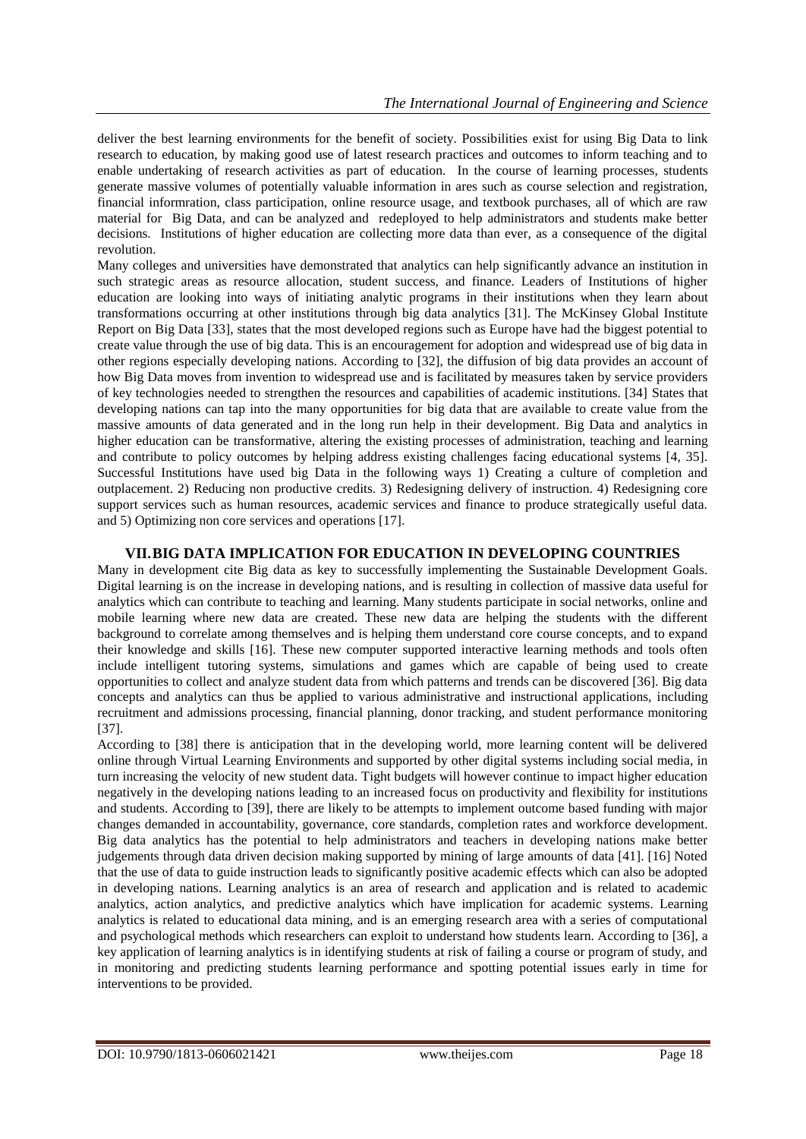deliver the best learning environments for the benefit of society. Possibilities exist for using Big Data to link research to education, by making good use of latest research practices and outcomes to inform teaching and to enable undertaking of research activities as part of education. In the course of learning processes, students generate massive volumes of potentially valuable information in ares such as course selection and registration, financial informration, class participation, online resource usage, and textbook purchases, all of which are raw material for Big Data, and can be analyzed and redeployed to help administrators and students make better decisions. Institutions of higher education are collecting more data than ever, as a consequence of the digital revolution.

Many colleges and universities have demonstrated that analytics can help significantly advance an institution in such strategic areas as resource allocation, student success, and finance. Leaders of Institutions of higher education are looking into ways of initiating analytic programs in their institutions when they learn about transformations occurring at other institutions through big data analytics [31]. The McKinsey Global Institute Report on Big Data [33], states that the most developed regions such as Europe have had the biggest potential to create value through the use of big data. This is an encouragement for adoption and widespread use of big data in other regions especially developing nations. According to [32], the diffusion of big data provides an account of how Big Data moves from invention to widespread use and is facilitated by measures taken by service providers of key technologies needed to strengthen the resources and capabilities of academic institutions. [34] States that developing nations can tap into the many opportunities for big data that are available to create value from the massive amounts of data generated and in the long run help in their development. Big Data and analytics in higher education can be transformative, altering the existing processes of administration, teaching and learning and contribute to policy outcomes by helping address existing challenges facing educational systems [4, 35]. Successful Institutions have used big Data in the following ways 1) Creating a culture of completion and outplacement. 2) Reducing non productive credits. 3) Redesigning delivery of instruction. 4) Redesigning core support services such as human resources, academic services and finance to produce strategically useful data. and 5) Optimizing non core services and operations [17].

## **VII.BIG DATA IMPLICATION FOR EDUCATION IN DEVELOPING COUNTRIES**

Many in development cite Big data as key to successfully implementing the Sustainable Development Goals. Digital learning is on the increase in developing nations, and is resulting in collection of massive data useful for analytics which can contribute to teaching and learning. Many students participate in social networks, online and mobile learning where new data are created. These new data are helping the students with the different background to correlate among themselves and is helping them understand core course concepts, and to expand their knowledge and skills [16]. These new computer supported interactive learning methods and tools often include intelligent tutoring systems, simulations and games which are capable of being used to create opportunities to collect and analyze student data from which patterns and trends can be discovered [36]. Big data concepts and analytics can thus be applied to various administrative and instructional applications, including recruitment and admissions processing, financial planning, donor tracking, and student performance monitoring [37].

According to [38] there is anticipation that in the developing world, more learning content will be delivered online through Virtual Learning Environments and supported by other digital systems including social media, in turn increasing the velocity of new student data. Tight budgets will however continue to impact higher education negatively in the developing nations leading to an increased focus on productivity and flexibility for institutions and students. According to [39], there are likely to be attempts to implement outcome based funding with major changes demanded in accountability, governance, core standards, completion rates and workforce development. Big data analytics has the potential to help administrators and teachers in developing nations make better judgements through data driven decision making supported by mining of large amounts of data [41]. [16] Noted that the use of data to guide instruction leads to significantly positive academic effects which can also be adopted in developing nations. Learning analytics is an area of research and application and is related to academic analytics, action analytics, and predictive analytics which have implication for academic systems. Learning analytics is related to educational data mining, and is an emerging research area with a series of computational and psychological methods which researchers can exploit to understand how students learn. According to [36], a key application of learning analytics is in identifying students at risk of failing a course or program of study, and in monitoring and predicting students learning performance and spotting potential issues early in time for interventions to be provided.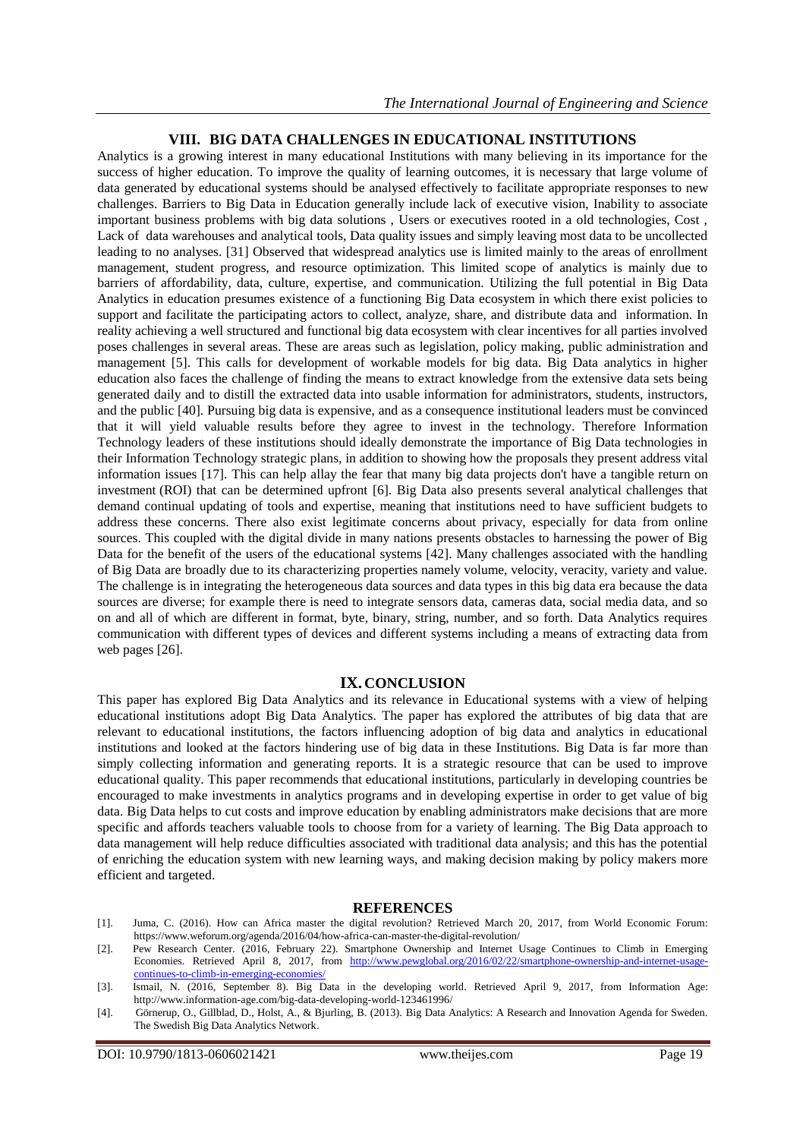## **VIII. BIG DATA CHALLENGES IN EDUCATIONAL INSTITUTIONS**

Analytics is a growing interest in many educational Institutions with many believing in its importance for the success of higher education. To improve the quality of learning outcomes, it is necessary that large volume of data generated by educational systems should be analysed effectively to facilitate appropriate responses to new challenges. Barriers to Big Data in Education generally include lack of executive vision, Inability to associate important business problems with big data solutions , Users or executives rooted in a old technologies, Cost , Lack of data warehouses and analytical tools, Data quality issues and simply leaving most data to be uncollected leading to no analyses. [31] Observed that widespread analytics use is limited mainly to the areas of enrollment management, student progress, and resource optimization. This limited scope of analytics is mainly due to barriers of affordability, data, culture, expertise, and communication. Utilizing the full potential in Big Data Analytics in education presumes existence of a functioning Big Data ecosystem in which there exist policies to support and facilitate the participating actors to collect, analyze, share, and distribute data and information. In reality achieving a well structured and functional big data ecosystem with clear incentives for all parties involved poses challenges in several areas. These are areas such as legislation, policy making, public administration and management [5]. This calls for development of workable models for big data. Big Data analytics in higher education also faces the challenge of finding the means to extract knowledge from the extensive data sets being generated daily and to distill the extracted data into usable information for administrators, students, instructors, and the public [40]. Pursuing big data is expensive, and as a consequence institutional leaders must be convinced that it will yield valuable results before they agree to invest in the technology. Therefore Information Technology leaders of these institutions should ideally demonstrate the importance of Big Data technologies in their Information Technology strategic plans, in addition to showing how the proposals they present address vital information issues [17]. This can help allay the fear that many big data projects don't have a tangible [return on](http://www.gartner.com/it-glossary/roi-return-on-investment/)  [investment](http://www.gartner.com/it-glossary/roi-return-on-investment/) (ROI) that can be determined upfront [6]. Big Data also presents several analytical challenges that demand continual updating of tools and expertise, meaning that institutions need to have sufficient budgets to address these concerns. There also exist legitimate concerns about privacy, especially for data from online sources. This coupled with the digital divide in many nations presents obstacles to harnessing the power of Big Data for the benefit of the users of the educational systems [42]. Many challenges associated with the handling of Big Data are broadly due to its characterizing properties namely volume, velocity, veracity, variety and value. The challenge is in integrating the heterogeneous data sources and data types in this big data era because the data sources are diverse; for example there is need to integrate sensors data, cameras data, social media data, and so on and all of which are different in format, byte, binary, string, number, and so forth. Data Analytics requires communication with different types of devices and different systems including a means of extracting data from web pages [26].

#### **IX. CONCLUSION**

This paper has explored Big Data Analytics and its relevance in Educational systems with a view of helping educational institutions adopt Big Data Analytics. The paper has explored the attributes of big data that are relevant to educational institutions, the factors influencing adoption of big data and analytics in educational institutions and looked at the factors hindering use of big data in these Institutions. Big Data is far more than simply collecting information and generating reports. It is a strategic resource that can be used to improve educational quality. This paper recommends that educational institutions, particularly in developing countries be encouraged to make investments in analytics programs and in developing expertise in order to get value of big data. Big Data helps to cut costs and improve education by enabling administrators make decisions that are more specific and affords teachers valuable tools to choose from for a variety of learning. The Big Data approach to data management will help reduce difficulties associated with traditional data analysis; and this has the potential of enriching the education system with new learning ways, and making decision making by policy makers more efficient and targeted.

#### **REFERENCES**

- [1]. Juma, C. (2016). How can Africa master the digital revolution? Retrieved March 20, 2017, from World Economic Forum: https://www.weforum.org/agenda/2016/04/how-africa-can-master-the-digital-revolution/
- [2]. Pew Research Center. (2016, February 22). Smartphone Ownership and Internet Usage Continues to Climb in Emerging Economies. Retrieved April 8, 2017, from [http://www.pewglobal.org/2016/02/22/smartphone-ownership-and-internet-usage](http://www.pewglobal.org/2016/02/22/smartphone-ownership-and-internet-usage-continues-to-climb-in-emerging-economies/)[continues-to-climb-in-emerging-economies/](http://www.pewglobal.org/2016/02/22/smartphone-ownership-and-internet-usage-continues-to-climb-in-emerging-economies/)
- [3]. Ismail, N. (2016, September 8). Big Data in the developing world. Retrieved April 9, 2017, from Information Age: http://www.information-age.com/big-data-developing-world-123461996/
- [4]. Görnerup, O., Gillblad, D., Holst, A., & Bjurling, B. (2013). Big Data Analytics: A Research and Innovation Agenda for Sweden. The Swedish Big Data Analytics Network.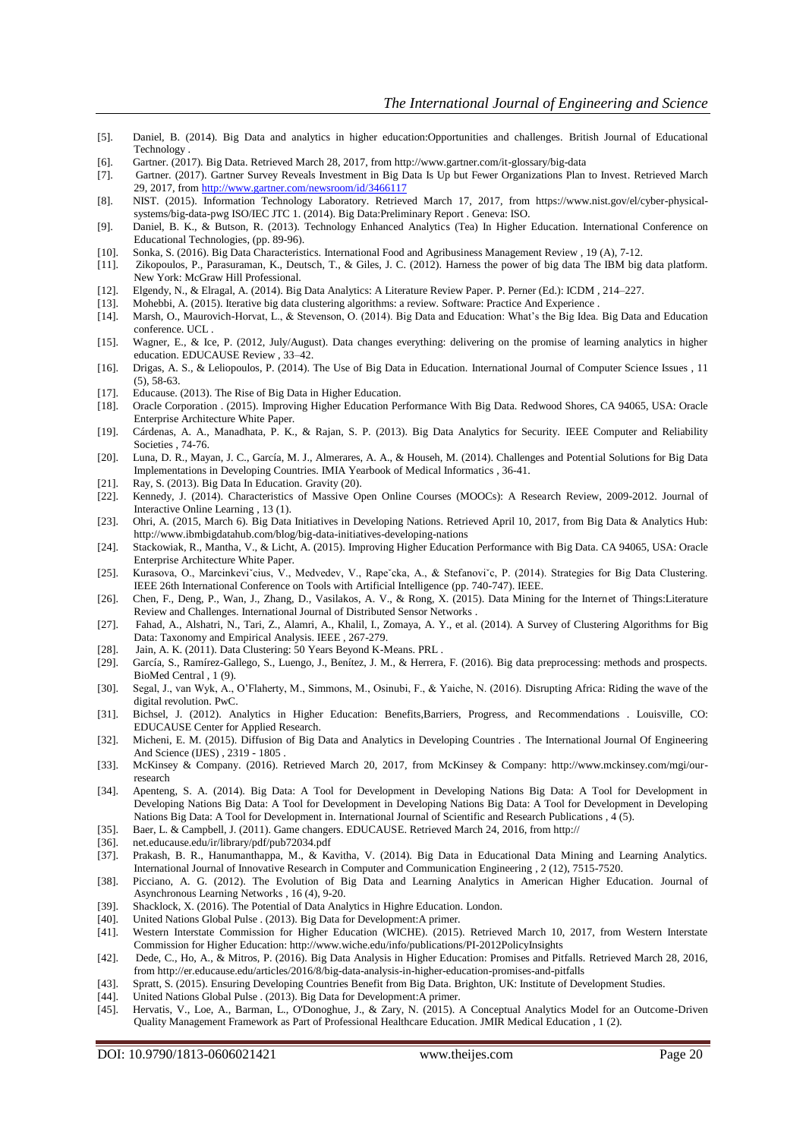- [5]. Daniel, B. (2014). Big Data and analytics in higher education:Opportunities and challenges. British Journal of Educational **Technology**
- [6]. Gartner. (2017). Big Data. Retrieved March 28, 2017, from http://www.gartner.com/it-glossary/big-data
- [7]. Gartner. (2017). Gartner Survey Reveals Investment in Big Data Is Up but Fewer Organizations Plan to Invest. Retrieved March 29, 2017, fro[m http://www.gartner.com/newsroom/id/3466117](http://www.gartner.com/newsroom/id/3466117)
- [8]. NIST. (2015). Information Technology Laboratory. Retrieved March 17, 2017, from https://www.nist.gov/el/cyber-physicalsystems/big-data-pwg ISO/IEC JTC 1. (2014). Big Data:Preliminary Report . Geneva: ISO.
- [9]. Daniel, B. K., & Butson, R. (2013). Technology Enhanced Analytics (Tea) In Higher Education. International Conference on Educational Technologies, (pp. 89-96).
- [10]. Sonka, S. (2016). Big Data Characteristics. International Food and Agribusiness Management Review , 19 (A), 7-12.
- [11]. Zikopoulos, P., Parasuraman, K., Deutsch, T., & Giles, J. C. (2012). Harness the power of big data The IBM big data platform. New York: McGraw Hill Professional.
- [12]. Elgendy, N., & Elragal, A. (2014). Big Data Analytics: A Literature Review Paper. P. Perner (Ed.): ICDM , 214–227.
- [13]. Mohebbi, A. (2015). Iterative big data clustering algorithms: a review. Software: Practice And Experience .
- [14]. Marsh, O., Maurovich-Horvat, L., & Stevenson, O. (2014). Big Data and Education: What's the Big Idea. Big Data and Education conference. UCL .
- [15]. Wagner, E., & Ice, P. (2012, July/August). Data changes everything: delivering on the promise of learning analytics in higher education. EDUCAUSE Review , 33–42.
- [16]. Drigas, A. S., & Leliopoulos, P. (2014). The Use of Big Data in Education. International Journal of Computer Science Issues , 11 (5), 58-63.
- [17]. Educause. (2013). The Rise of Big Data in Higher Education.
- [18]. Oracle Corporation . (2015). Improving Higher Education Performance With Big Data. Redwood Shores, CA 94065, USA: Oracle Enterprise Architecture White Paper.
- [19]. Cárdenas, A. A., Manadhata, P. K., & Rajan, S. P. (2013). Big Data Analytics for Security. IEEE Computer and Reliability Societies , 74-76.
- [20]. Luna, D. R., Mayan, J. C., García, M. J., Almerares, A. A., & Househ, M. (2014). Challenges and Potential Solutions for Big Data Implementations in Developing Countries. IMIA Yearbook of Medical Informatics , 36-41.
- [21]. Ray, S. (2013). Big Data In Education. Gravity (20).
- [22]. Kennedy, J. (2014). Characteristics of Massive Open Online Courses (MOOCs): A Research Review, 2009-2012. Journal of Interactive Online Learning , 13 (1).
- [23]. Ohri, A. (2015, March 6). Big Data Initiatives in Developing Nations. Retrieved April 10, 2017, from Big Data & Analytics Hub: http://www.ibmbigdatahub.com/blog/big-data-initiatives-developing-nations
- [24]. Stackowiak, R., Mantha, V., & Licht, A. (2015). Improving Higher Education Performance with Big Data. CA 94065, USA: Oracle Enterprise Architecture White Paper.
- [25]. Kurasova, O., Marcinkeviˇcius, V., Medvedev, V., Rapeˇcka, A., & Stefanoviˇc, P. (2014). Strategies for Big Data Clustering. IEEE 26th International Conference on Tools with Artificial Intelligence (pp. 740-747). IEEE.
- [26]. Chen, F., Deng, P., Wan, J., Zhang, D., Vasilakos, A. V., & Rong, X. (2015). Data Mining for the Internet of Things:Literature Review and Challenges. International Journal of Distributed Sensor Networks .
- [27]. Fahad, A., Alshatri, N., Tari, Z., Alamri, A., Khalil, I., Zomaya, A. Y., et al. (2014). A Survey of Clustering Algorithms for Big Data: Taxonomy and Empirical Analysis. IEEE , 267-279.
- [28]. Jain, A. K. (2011). Data Clustering: 50 Years Beyond K-Means. PRL .
- [29]. García, S., Ramírez-Gallego, S., Luengo, J., Benítez, J. M., & Herrera, F. (2016). Big data preprocessing: methods and prospects. BioMed Central , 1 (9).
- [30]. Segal, J., van Wyk, A., O'Flaherty, M., Simmons, M., Osinubi, F., & Yaiche, N. (2016). Disrupting Africa: Riding the wave of the digital revolution. PwC.
- [31]. Bichsel, J. (2012). Analytics in Higher Education: Benefits,Barriers, Progress, and Recommendations . Louisville, CO: EDUCAUSE Center for Applied Research.
- [32]. Micheni, E. M. (2015). Diffusion of Big Data and Analytics in Developing Countries . The International Journal Of Engineering And Science (IJES) , 2319 - 1805 .
- [33]. McKinsey & Company. (2016). Retrieved March 20, 2017, from McKinsey & Company: http://www.mckinsey.com/mgi/ourresearch
- [34]. Apenteng, S. A. (2014). Big Data: A Tool for Development in Developing Nations Big Data: A Tool for Development in Developing Nations Big Data: A Tool for Development in Developing Nations Big Data: A Tool for Development in Developing Nations Big Data: A Tool for Development in. International Journal of Scientific and Research Publications , 4 (5).
- [35]. Baer, L. & Campbell, J. (2011). Game changers. EDUCAUSE. Retrieved March 24, 2016, from http://
- [36]. net.educause.edu/ir/library/pdf/pub72034.pdf
- [37]. Prakash, B. R., Hanumanthappa, M., & Kavitha, V. (2014). Big Data in Educational Data Mining and Learning Analytics. International Journal of Innovative Research in Computer and Communication Engineering , 2 (12), 7515-7520.
- [38]. Picciano, A. G. (2012). The Evolution of Big Data and Learning Analytics in American Higher Education. Journal of Asynchronous Learning Networks , 16 (4), 9-20.
- [39]. Shacklock, X. (2016). The Potential of Data Analytics in Highre Education. London.
- [40]. United Nations Global Pulse . (2013). Big Data for Development:A primer.
- [41]. Western Interstate Commission for Higher Education (WICHE). (2015). Retrieved March 10, 2017, from Western Interstate Commission for Higher Education: http://www.wiche.edu/info/publications/PI-2012PolicyInsights
- [42]. Dede, C., Ho, A., & Mitros, P. (2016). Big Data Analysis in Higher Education: Promises and Pitfalls. Retrieved March 28, 2016, from http://er.educause.edu/articles/2016/8/big-data-analysis-in-higher-education-promises-and-pitfalls
- [43]. Spratt, S. (2015). Ensuring Developing Countries Benefit from Big Data. Brighton, UK: Institute of Development Studies.
- [44]. United Nations Global Pulse . (2013). Big Data for Development:A primer.
- [45]. Hervatis, V., Loe, A., Barman, L., O'Donoghue, J., & Zary, N. (2015). A Conceptual Analytics Model for an Outcome-Driven Quality Management Framework as Part of Professional Healthcare Education. JMIR Medical Education , 1 (2).